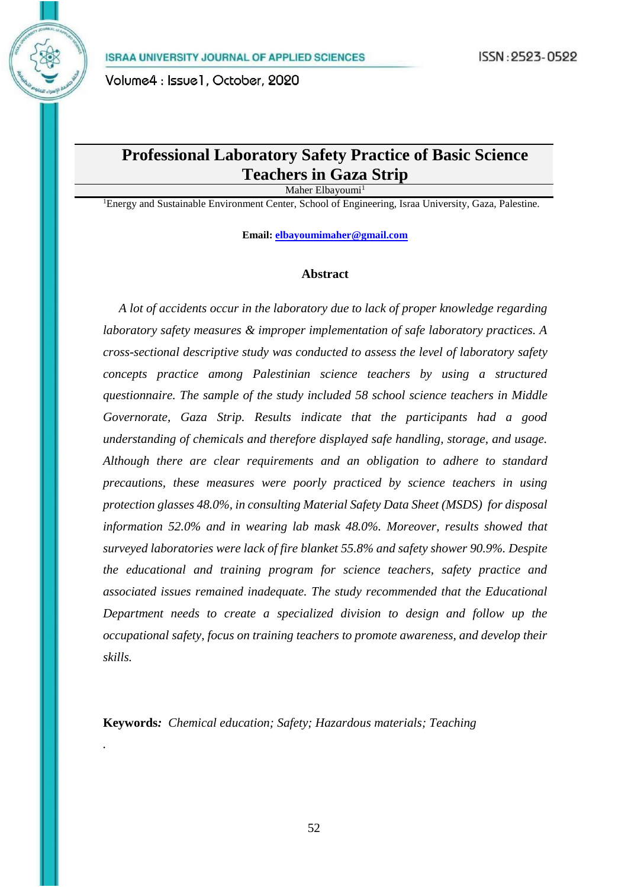# **Professional Laboratory Safety Practice of Basic Science Teachers in Gaza Strip**

Maher Elbayoumi<sup>1</sup>

<sup>1</sup>Energy and Sustainable Environment Center, School of Engineering, Israa University, Gaza, Palestine.

**Email: [elbayoumimaher@gmail.com](mailto:elbayoumimaher@gmail.com)**

## **Abstract**

 *A lot of accidents occur in the laboratory due to lack of proper knowledge regarding laboratory safety measures & improper implementation of safe laboratory practices. A cross-sectional descriptive study was conducted to assess the level of laboratory safety concepts practice among Palestinian science teachers by using a structured questionnaire. The sample of the study included 58 school science teachers in Middle Governorate, Gaza Strip. Results indicate that the participants had a good understanding of chemicals and therefore displayed safe handling, storage, and usage. Although there are clear requirements and an obligation to adhere to standard precautions, these measures were poorly practiced by science teachers in using protection glasses 48.0%, in consulting Material Safety Data Sheet (MSDS) for disposal information 52.0% and in wearing lab mask 48.0%. Moreover, results showed that surveyed laboratories were lack of fire blanket 55.8% and safety shower 90.9%. Despite the educational and training program for science teachers, safety practice and associated issues remained inadequate. The study recommended that the Educational Department needs to create a specialized division to design and follow up the occupational safety, focus on training teachers to promote awareness, and develop their skills.*

**Keywords***: Chemical education; Safety; Hazardous materials; Teaching*

*.*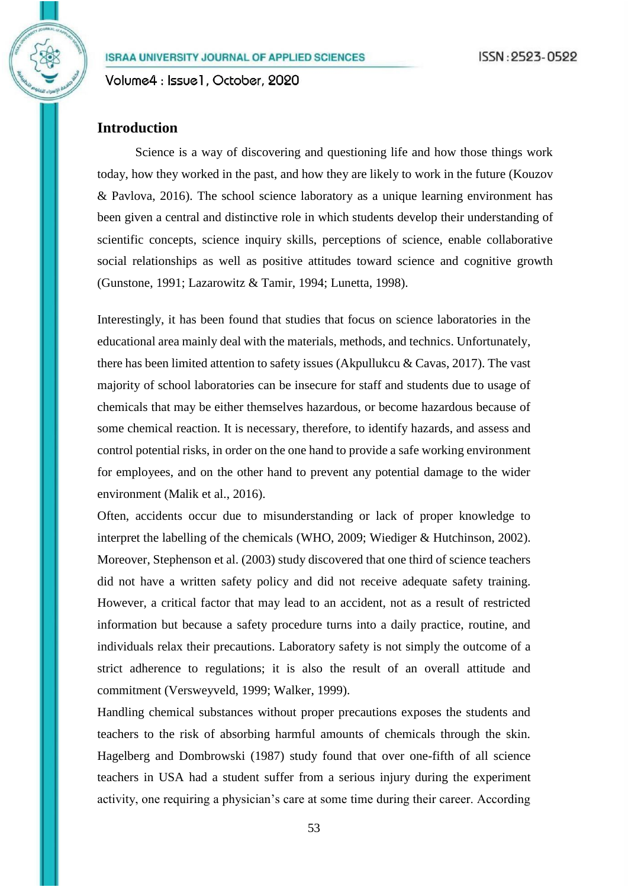## **Introduction**

Science is a way of discovering and questioning life and how those things work today, how they worked in the past, and how they are likely to work in the future [\(Kouzov](#page-14-0)  [& Pavlova, 2016\)](#page-14-0). The school science laboratory as a unique learning environment has been given a central and distinctive role in which students develop their understanding of scientific concepts, science inquiry skills, perceptions of science, enable collaborative social relationships as well as positive attitudes toward science and cognitive growth [\(Gunstone, 1991;](#page-14-1) [Lazarowitz & Tamir, 1994;](#page-14-2) [Lunetta, 1998\)](#page-14-3).

Interestingly, it has been found that studies that focus on science laboratories in the educational area mainly deal with the materials, methods, and technics. Unfortunately, there has been limited attention to safety issues (Akpullukcu & Cavas, 2017). The vast majority of school laboratories can be insecure for staff and students due to usage of chemicals that may be either themselves hazardous, or become hazardous because of some chemical reaction. It is necessary, therefore, to identify hazards, and assess and control potential risks, in order on the one hand to provide a safe working environment for employees, and on the other hand to prevent any potential damage to the wider environment (Malik et al., 2016).

Often, accidents occur due to misunderstanding or lack of proper knowledge to interpret the labelling of the chemicals [\(WHO, 2009;](#page-15-0) Wiediger & Hutchinson, 2002). Moreover, [Stephenson et al. \(2003\)](#page-14-4) study discovered that one third of science teachers did not have a written safety policy and did not receive adequate safety training. However, a critical factor that may lead to an accident, not as a result of restricted information but because a safety procedure turns into a daily practice, routine, and individuals relax their precautions. Laboratory safety is not simply the outcome of a strict adherence to regulations; it is also the result of an overall attitude and commitment [\(Versweyveld, 1999;](#page-15-1) [Walker, 1999\)](#page-15-2).

Handling chemical substances without proper precautions exposes the students and teachers to the risk of absorbing harmful amounts of chemicals through the skin. [Hagelberg and Dombrowski \(1987\)](#page-14-5) study found that over one-fifth of all science teachers in USA had a student suffer from a serious injury during the experiment activity, one requiring a physician's care at some time during their career. According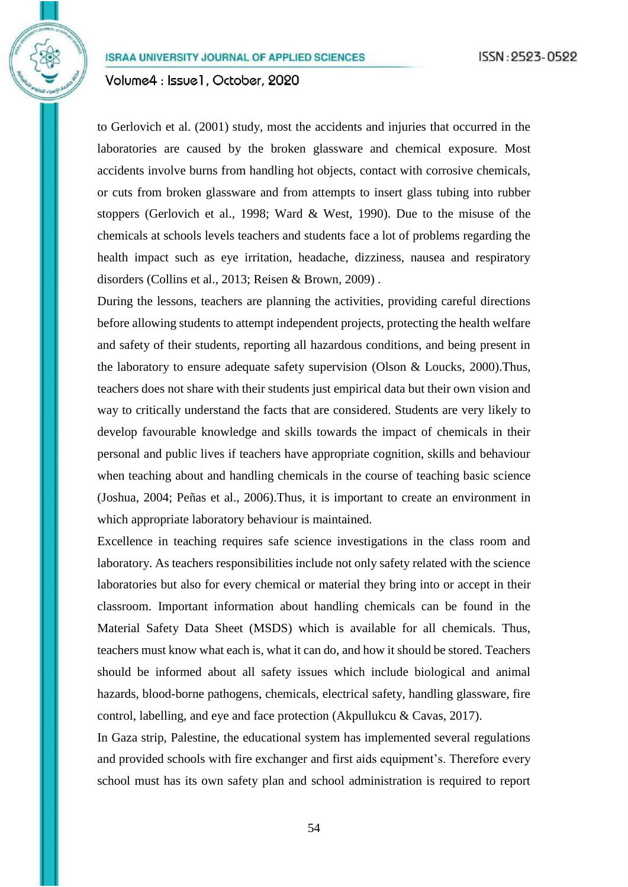Volume4: Issue1, October, 2020

to [Gerlovich et al. \(2001\)](#page-14-6) study, most the accidents and injuries that occurred in the laboratories are caused by the broken glassware and chemical exposure. Most accidents involve burns from handling hot objects, contact with corrosive chemicals, or cuts from broken glassware and from attempts to insert glass tubing into rubber stoppers [\(Gerlovich et al., 1998;](#page-14-6) [Ward & West, 1990\)](#page-15-3). Due to the misuse of the chemicals at schools levels teachers and students face a lot of problems regarding the health impact such as eye irritation, headache, dizziness, nausea and respiratory disorders [\(Collins et al., 2013;](#page-14-4) [Reisen & Brown, 2009\)](#page-15-4) .

During the lessons, teachers are planning the activities, providing careful directions before allowing students to attempt independent projects, protecting the health welfare and safety of their students, reporting all hazardous conditions, and being present in the laboratory to ensure adequate safety supervision [\(Olson & Loucks, 2000\)](#page-14-7).Thus, teachers does not share with their students just empirical data but their own vision and way to critically understand the facts that are considered. Students are very likely to develop favourable knowledge and skills towards the impact of chemicals in their personal and public lives if teachers have appropriate cognition, skills and behaviour when teaching about and handling chemicals in the course of teaching basic science [\(Joshua, 2004;](#page-14-8) [Peñas et al., 2006\)](#page-14-9).Thus, it is important to create an environment in which appropriate laboratory behaviour is maintained.

Excellence in teaching requires safe science investigations in the class room and laboratory. As teachers responsibilities include not only safety related with the science laboratories but also for every chemical or material they bring into or accept in their classroom. Important information about handling chemicals can be found in the Material Safety Data Sheet (MSDS) which is available for all chemicals. Thus, teachers must know what each is, what it can do, and how it should be stored. Teachers should be informed about all safety issues which include biological and animal hazards, blood-borne pathogens, chemicals, electrical safety, handling glassware, fire control, labelling, and eye and face protection (Akpullukcu & Cavas, 2017).

In Gaza strip, Palestine, the educational system has implemented several regulations and provided schools with fire exchanger and first aids equipment's. Therefore every school must has its own safety plan and school administration is required to report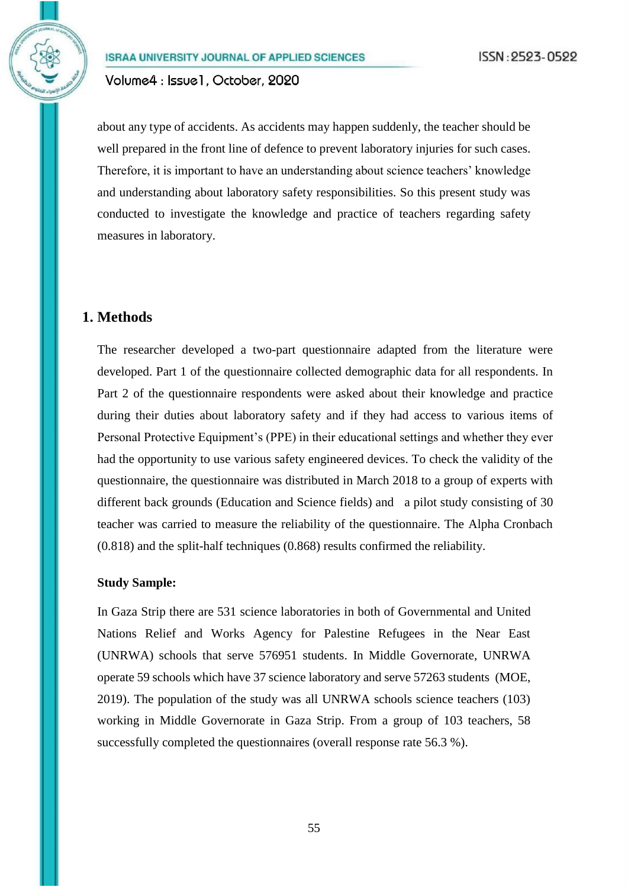about any type of accidents. As accidents may happen suddenly, the teacher should be well prepared in the front line of defence to prevent laboratory injuries for such cases. Therefore, it is important to have an understanding about science teachers' knowledge and understanding about laboratory safety responsibilities. So this present study was conducted to investigate the knowledge and practice of teachers regarding safety measures in laboratory.

## **1. Methods**

The researcher developed a two-part questionnaire adapted from the literature were developed. Part 1 of the questionnaire collected demographic data for all respondents. In Part 2 of the questionnaire respondents were asked about their knowledge and practice during their duties about laboratory safety and if they had access to various items of Personal Protective Equipment's (PPE) in their educational settings and whether they ever had the opportunity to use various safety engineered devices. To check the validity of the questionnaire, the questionnaire was distributed in March 2018 to a group of experts with different back grounds (Education and Science fields) and a pilot study consisting of 30 teacher was carried to measure the reliability of the questionnaire. The Alpha Cronbach (0.818) and the split-half techniques (0.868) results confirmed the reliability.

### **Study Sample:**

In Gaza Strip there are 531 science laboratories in both of Governmental and United Nations Relief and Works Agency for Palestine Refugees in the Near East (UNRWA) schools that serve 576951 students. In Middle Governorate, UNRWA operate 59 schools which have 37 science laboratory and serve 57263 students [\(MOE,](#page-14-4)  [2019\)](#page-14-4). The population of the study was all UNRWA schools science teachers (103) working in Middle Governorate in Gaza Strip. From a group of 103 teachers, 58 successfully completed the questionnaires (overall response rate 56.3 %).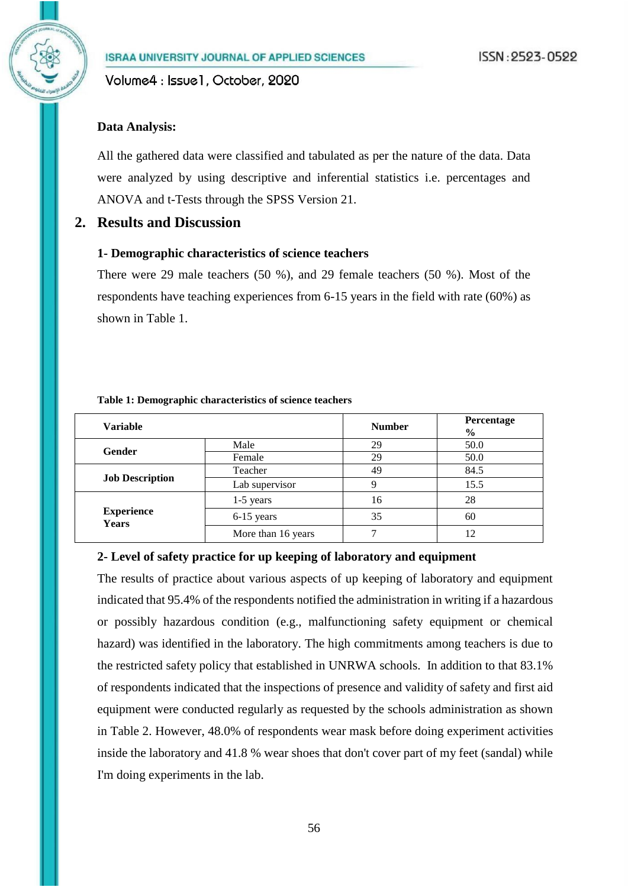## **Data Analysis:**

All the gathered data were classified and tabulated as per the nature of the data. Data were analyzed by using descriptive and inferential statistics i.e. percentages and ANOVA and t-Tests through the SPSS Version 21.

## **2. Results and Discussion**

### **1- Demographic characteristics of science teachers**

There were 29 male teachers (50 %), and 29 female teachers (50 %). Most of the respondents have teaching experiences from 6-15 years in the field with rate (60%) as shown in Table 1.

| <b>Variable</b>                   |                                                    | <b>Number</b> | Percentage<br>$\frac{6}{9}$ |  |
|-----------------------------------|----------------------------------------------------|---------------|-----------------------------|--|
|                                   | Male                                               | 29            | 50.0                        |  |
| <b>Gender</b>                     | Female<br>Teacher<br>Lab supervisor<br>$1-5$ years | 29            | 50.0                        |  |
|                                   |                                                    | 49            | 84.5                        |  |
| <b>Job Description</b>            | Q                                                  |               | 15.5                        |  |
|                                   |                                                    | 16            | 28                          |  |
| <b>Experience</b><br><b>Years</b> | 6-15 years                                         | 35            | 60                          |  |
|                                   | More than 16 years                                 |               | 12                          |  |

#### **Table 1: Demographic characteristics of science teachers**

### **2- Level of safety practice for up keeping of laboratory and equipment**

The results of practice about various aspects of up keeping of laboratory and equipment indicated that 95.4% of the respondents notified the administration in writing if a hazardous or possibly hazardous condition (e.g., malfunctioning safety equipment or chemical hazard) was identified in the laboratory. The high commitments among teachers is due to the restricted safety policy that established in UNRWA schools. In addition to that 83.1% of respondents indicated that the inspections of presence and validity of safety and first aid equipment were conducted regularly as requested by the schools administration as shown in Table 2. However, 48.0% of respondents wear mask before doing experiment activities inside the laboratory and 41.8 % wear shoes that don't cover part of my feet (sandal) while I'm doing experiments in the lab.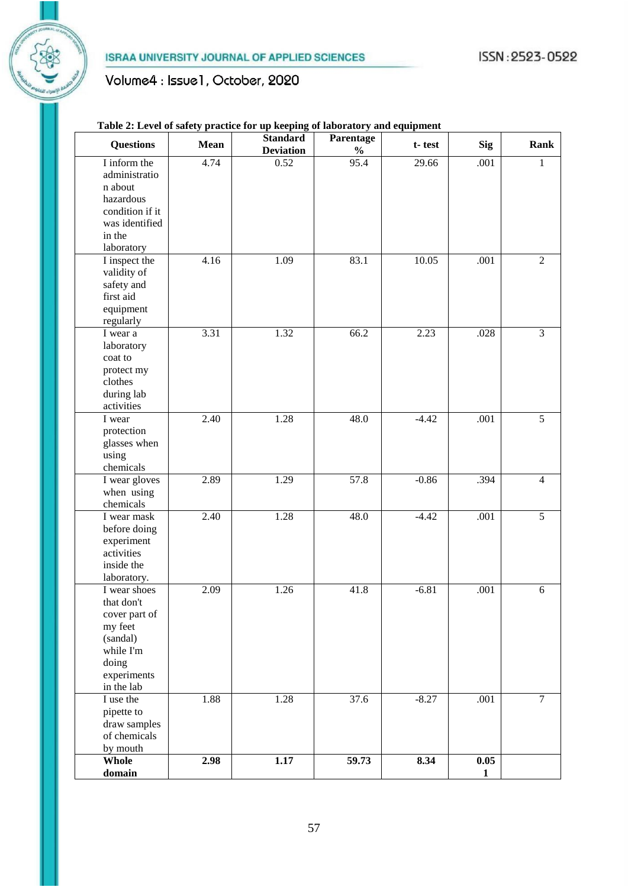# Volume4 : Issue1, October, 2020

## **Table 2: Level of safety practice for up keeping of laboratory and equipment**

| <b>Questions</b>            | Mean | <b>Standard</b><br><b>Deviation</b> | Parentage<br>$\frac{0}{0}$ | t-test  | <b>Sig</b>   | <b>Rank</b>    |
|-----------------------------|------|-------------------------------------|----------------------------|---------|--------------|----------------|
| I inform the                | 4.74 | 0.52                                | 95.4                       | 29.66   | .001         | 1              |
| administratio               |      |                                     |                            |         |              |                |
| n about                     |      |                                     |                            |         |              |                |
| hazardous                   |      |                                     |                            |         |              |                |
| condition if it             |      |                                     |                            |         |              |                |
| was identified              |      |                                     |                            |         |              |                |
| in the                      |      |                                     |                            |         |              |                |
| laboratory                  |      |                                     |                            |         |              |                |
| I inspect the               | 4.16 | 1.09                                | 83.1                       | 10.05   | .001         | $\sqrt{2}$     |
| validity of                 |      |                                     |                            |         |              |                |
| safety and                  |      |                                     |                            |         |              |                |
| first aid                   |      |                                     |                            |         |              |                |
| equipment                   |      |                                     |                            |         |              |                |
| regularly                   |      |                                     |                            |         |              |                |
| I wear a                    | 3.31 | 1.32                                | 66.2                       | 2.23    | .028         | $\overline{3}$ |
| laboratory                  |      |                                     |                            |         |              |                |
| coat to                     |      |                                     |                            |         |              |                |
| protect my                  |      |                                     |                            |         |              |                |
| clothes                     |      |                                     |                            |         |              |                |
| during lab                  |      |                                     |                            |         |              |                |
| activities                  |      |                                     |                            |         |              |                |
| I wear                      | 2.40 | 1.28                                | 48.0                       | $-4.42$ | .001         | $\overline{5}$ |
| protection                  |      |                                     |                            |         |              |                |
| glasses when                |      |                                     |                            |         |              |                |
| using                       |      |                                     |                            |         |              |                |
| chemicals                   |      |                                     |                            |         |              |                |
| I wear gloves               | 2.89 | 1.29                                | 57.8                       | $-0.86$ | .394         | $\overline{4}$ |
| when using                  |      |                                     |                            |         |              |                |
| chemicals                   |      |                                     |                            |         |              |                |
| I wear mask                 | 2.40 | 1.28                                | 48.0                       | $-4.42$ | .001         | $\overline{5}$ |
| before doing                |      |                                     |                            |         |              |                |
| experiment                  |      |                                     |                            |         |              |                |
| activities<br>inside the    |      |                                     |                            |         |              |                |
|                             |      |                                     |                            |         |              |                |
| laboratory.<br>I wear shoes | 2.09 | 1.26                                | 41.8                       | $-6.81$ | .001         | $\sqrt{6}$     |
| that don't                  |      |                                     |                            |         |              |                |
| cover part of               |      |                                     |                            |         |              |                |
| my feet                     |      |                                     |                            |         |              |                |
| (sandal)                    |      |                                     |                            |         |              |                |
| while I'm                   |      |                                     |                            |         |              |                |
| doing                       |      |                                     |                            |         |              |                |
| experiments                 |      |                                     |                            |         |              |                |
| in the lab                  |      |                                     |                            |         |              |                |
| I use the                   | 1.88 | 1.28                                | 37.6                       | $-8.27$ | .001         | $\tau$         |
| pipette to                  |      |                                     |                            |         |              |                |
| draw samples                |      |                                     |                            |         |              |                |
| of chemicals                |      |                                     |                            |         |              |                |
| by mouth                    |      |                                     |                            |         |              |                |
| Whole                       | 2.98 | 1.17                                | 59.73                      | 8.34    | $0.05\,$     |                |
| domain                      |      |                                     |                            |         | $\mathbf{1}$ |                |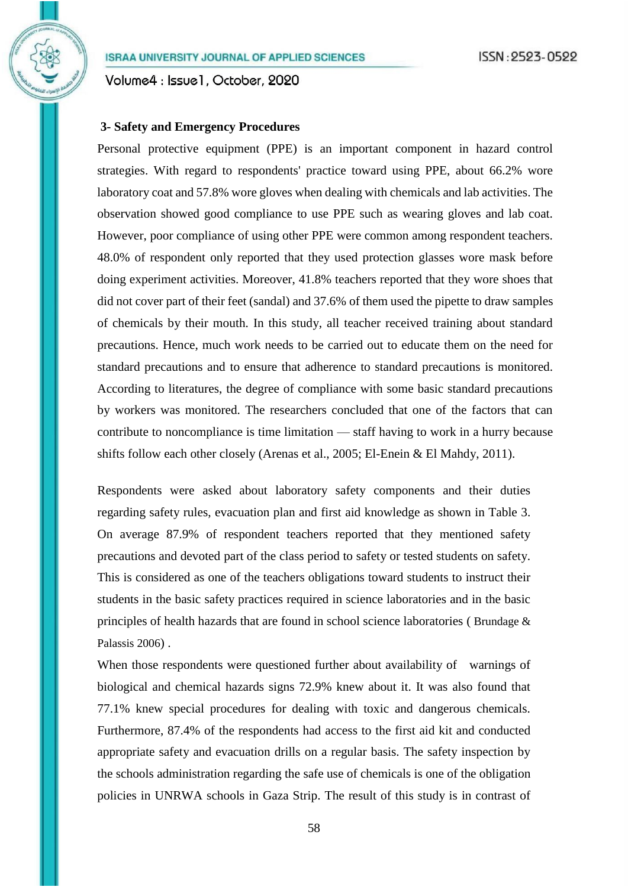Volume4: Issue1, October, 2020

## **3- Safety and Emergency Procedures**

Personal protective equipment (PPE) is an important component in hazard control strategies. With regard to respondents' practice toward using PPE, about 66.2% wore laboratory coat and 57.8% wore gloves when dealing with chemicals and lab activities. The observation showed good compliance to use PPE such as wearing gloves and lab coat. However, poor compliance of using other PPE were common among respondent teachers. 48.0% of respondent only reported that they used protection glasses wore mask before doing experiment activities. Moreover, 41.8% teachers reported that they wore shoes that did not cover part of their feet (sandal) and 37.6% of them used the pipette to draw samples of chemicals by their mouth. In this study, all teacher received training about standard precautions. Hence, much work needs to be carried out to educate them on the need for standard precautions and to ensure that adherence to standard precautions is monitored. According to literatures, the degree of compliance with some basic standard precautions by workers was monitored. The researchers concluded that one of the factors that can contribute to noncompliance is time limitation — staff having to work in a hurry because shifts follow each other closely [\(Arenas et al., 2005;](#page-14-10) [El-Enein & El Mahdy, 2011\)](#page-14-11).

Respondents were asked about laboratory safety components and their duties regarding safety rules, evacuation plan and first aid knowledge as shown in Table 3. On average 87.9% of respondent teachers reported that they mentioned safety precautions and devoted part of the class period to safety or tested students on safety. This is considered as one of the teachers obligations toward students to instruct their students in the basic safety practices required in science laboratories and in the basic principles of health hazards that are found in school science laboratories ( Brundage & Palassis 2006) .

When those respondents were questioned further about availability of warnings of biological and chemical hazards signs 72.9% knew about it. It was also found that 77.1% knew special procedures for dealing with toxic and dangerous chemicals. Furthermore, 87.4% of the respondents had access to the first aid kit and conducted appropriate safety and evacuation drills on a regular basis. The safety inspection by the schools administration regarding the safe use of chemicals is one of the obligation policies in UNRWA schools in Gaza Strip. The result of this study is in contrast of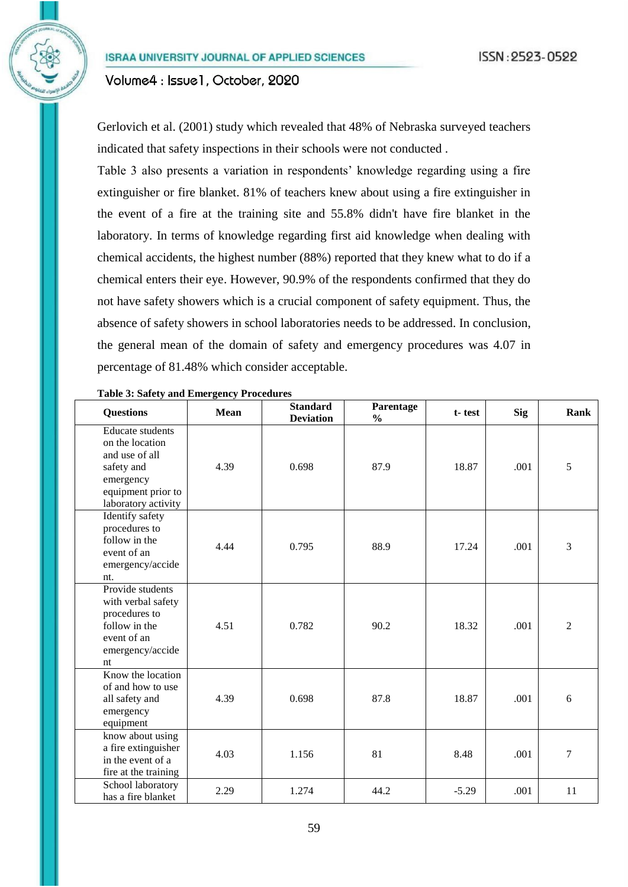[Gerlovich et](#page-14-6) al. (2001) study which revealed that 48% of Nebraska surveyed teachers indicated that safety inspections in their schools were not conducted .

Table 3 also presents a variation in respondents' knowledge regarding using a fire extinguisher or fire blanket. 81% of teachers knew about using a fire extinguisher in the event of a fire at the training site and 55.8% didn't have fire blanket in the laboratory. In terms of knowledge regarding first aid knowledge when dealing with chemical accidents, the highest number (88%) reported that they knew what to do if a chemical enters their eye. However, 90.9% of the respondents confirmed that they do not have safety showers which is a crucial component of safety equipment. Thus, the absence of safety showers in school laboratories needs to be addressed. In conclusion, the general mean of the domain of safety and emergency procedures was 4.07 in percentage of 81.48% which consider acceptable.

| <b>Questions</b>                                                                                                                     | <b>Mean</b> | <b>Standard</b><br><b>Deviation</b> | Parentage<br>$\frac{0}{0}$ | t-test  | Sig  | Rank             |
|--------------------------------------------------------------------------------------------------------------------------------------|-------------|-------------------------------------|----------------------------|---------|------|------------------|
| <b>Educate</b> students<br>on the location<br>and use of all<br>safety and<br>emergency<br>equipment prior to<br>laboratory activity | 4.39        | 0.698                               | 87.9                       | 18.87   | .001 | 5                |
| Identify safety<br>procedures to<br>follow in the<br>event of an<br>emergency/accide<br>nt.                                          | 4.44        | 0.795                               | 88.9                       | 17.24   | .001 | 3                |
| Provide students<br>with verbal safety<br>procedures to<br>follow in the<br>event of an<br>emergency/accide<br>nt                    | 4.51        | 0.782                               | 90.2                       | 18.32   | .001 | $\overline{2}$   |
| Know the location<br>of and how to use<br>all safety and<br>emergency<br>equipment                                                   | 4.39        | 0.698                               | 87.8                       | 18.87   | .001 | 6                |
| know about using<br>a fire extinguisher<br>in the event of a<br>fire at the training                                                 | 4.03        | 1.156                               | 81                         | 8.48    | .001 | $\boldsymbol{7}$ |
| School laboratory<br>has a fire blanket                                                                                              | 2.29        | 1.274                               | 44.2                       | $-5.29$ | .001 | 11               |

#### **Table 3: Safety and Emergency Procedures**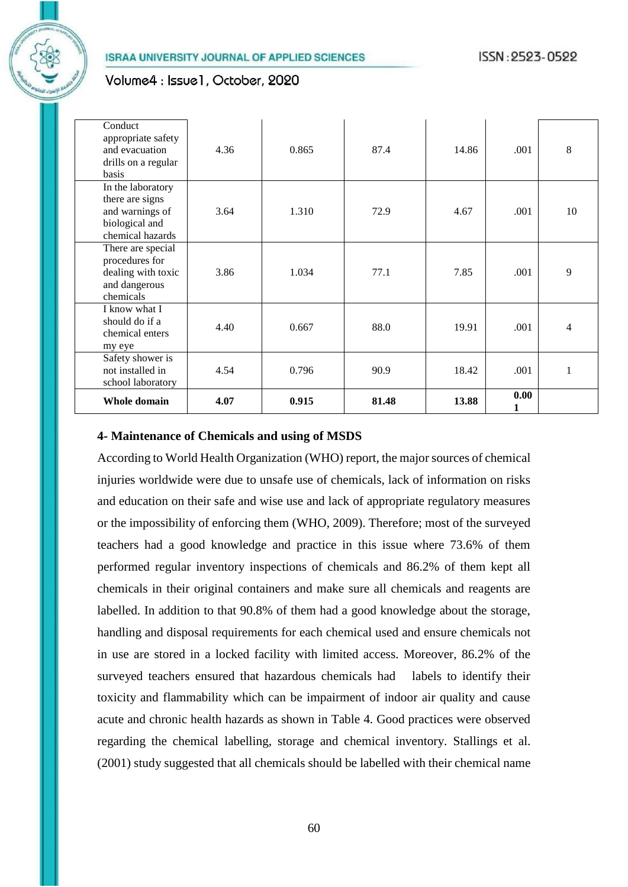## Volume4: Issue1, October, 2020

| Conduct<br>appropriate safety<br>and evacuation<br>drills on a regular<br>basis               | 4.36 | 0.865 | 87.4  | 14.86 | .001      | 8  |
|-----------------------------------------------------------------------------------------------|------|-------|-------|-------|-----------|----|
| In the laboratory<br>there are signs<br>and warnings of<br>biological and<br>chemical hazards | 3.64 | 1.310 | 72.9  | 4.67  | .001      | 10 |
| There are special<br>procedures for<br>dealing with toxic<br>and dangerous<br>chemicals       | 3.86 | 1.034 | 77.1  | 7.85  | .001      | 9  |
| I know what I<br>should do if a<br>chemical enters<br>my eye                                  | 4.40 | 0.667 | 88.0  | 19.91 | .001      | 4  |
| Safety shower is<br>not installed in<br>school laboratory                                     | 4.54 | 0.796 | 90.9  | 18.42 | .001      | 1  |
| <b>Whole domain</b>                                                                           | 4.07 | 0.915 | 81.48 | 13.88 | 0.00<br>1 |    |

### **4- Maintenance of Chemicals and using of MSDS**

According to World Health Organization (WHO) report, the major sources of chemical injuries worldwide were due to unsafe use of chemicals, lack of information on risks and education on their safe and wise use and lack of appropriate regulatory measures or the impossibility of enforcing them [\(WHO, 2009\)](#page-15-0). Therefore; most of the surveyed teachers had a good knowledge and practice in this issue where 73.6% of them performed regular inventory inspections of chemicals and 86.2% of them kept all chemicals in their original containers and make sure all chemicals and reagents are labelled. In addition to that 90.8% of them had a good knowledge about the storage, handling and disposal requirements for each chemical used and ensure chemicals not in use are stored in a locked facility with limited access. Moreover, 86.2% of the surveyed teachers ensured that hazardous chemicals had labels to identify their toxicity and flammability which can be impairment of indoor air quality and cause acute and chronic health hazards as shown in Table 4. Good practices were observed regarding the chemical labelling, storage and chemical inventory. [Stallings et al.](#page-15-5)  [\(2001\)](#page-15-5) study suggested that all chemicals should be labelled with their chemical name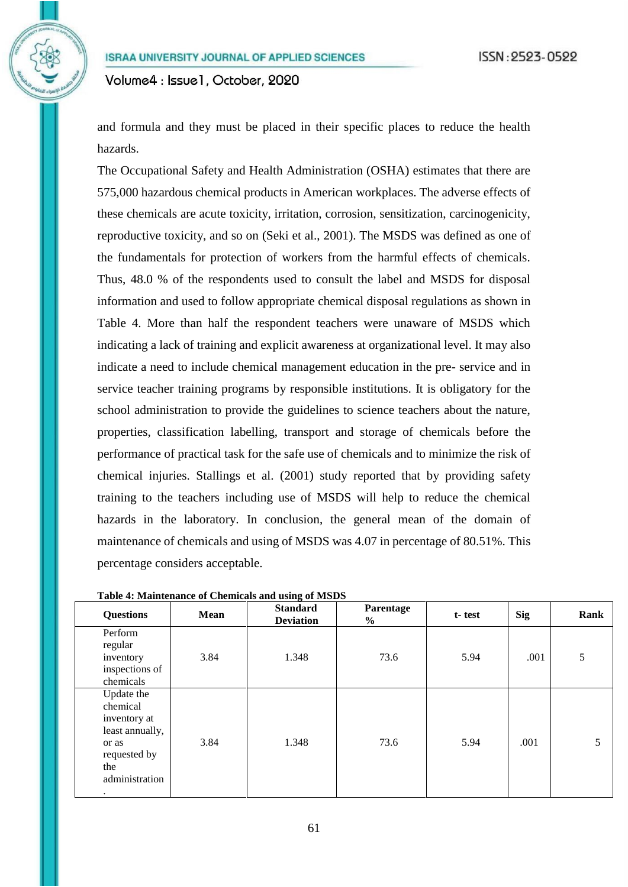and formula and they must be placed in their specific places to reduce the health hazards.

The Occupational Safety and Health Administration (OSHA) estimates that there are 575,000 hazardous chemical products in American workplaces. The adverse effects of these chemicals are acute toxicity, irritation, corrosion, sensitization, carcinogenicity, reproductive toxicity, and so on [\(Seki et al., 2001\)](#page-15-6). The MSDS was defined as one of the fundamentals for protection of workers from the harmful effects of chemicals. Thus, 48.0 % of the respondents used to consult the label and MSDS for disposal information and used to follow appropriate chemical disposal regulations as shown in Table 4. More than half the respondent teachers were unaware of MSDS which indicating a lack of training and explicit awareness at organizational level. It may also indicate a need to include chemical management education in the pre- service and in service teacher training programs by responsible institutions. It is obligatory for the school administration to provide the guidelines to science teachers about the nature, properties, classification labelling, transport and storage of chemicals before the performance of practical task for the safe use of chemicals and to minimize the risk of chemical injuries. [Stallings et al. \(2001\)](#page-15-5) study reported that by providing safety training to the teachers including use of MSDS will help to reduce the chemical hazards in the laboratory. In conclusion, the general mean of the domain of maintenance of chemicals and using of MSDS was 4.07 in percentage of 80.51%. This percentage considers acceptable.

| <b>Questions</b>                                                                                                 | Mean | <b>Standard</b><br><b>Deviation</b> | Parentage<br>$\%$ | t-test | <b>Sig</b> | <b>Rank</b> |
|------------------------------------------------------------------------------------------------------------------|------|-------------------------------------|-------------------|--------|------------|-------------|
| Perform<br>regular<br>inventory<br>inspections of<br>chemicals                                                   | 3.84 | 1.348                               | 73.6              | 5.94   | .001       | 5           |
| Update the<br>chemical<br>inventory at<br>least annually,<br>or as<br>requested by<br>the<br>administration<br>٠ | 3.84 | 1.348                               | 73.6              | 5.94   | .001       | 5           |

**Table 4: Maintenance of Chemicals and using of MSDS**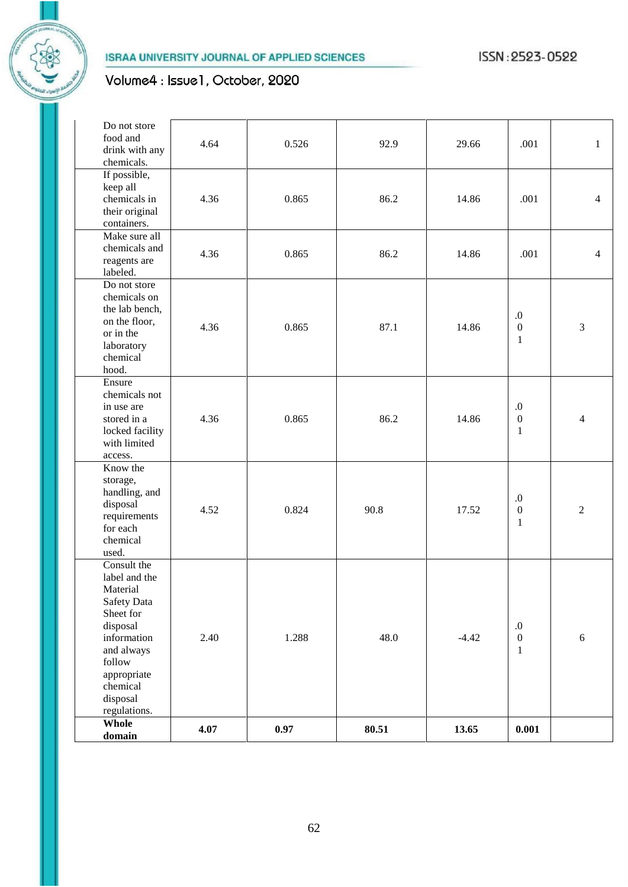# Volume4 : Issue1, October, 2020

| Whole<br>domain                                                                                                                                               |                                                                 | 4.07 | 0.97  | 80.51 | 13.65   | 0.001                                                |                |
|---------------------------------------------------------------------------------------------------------------------------------------------------------------|-----------------------------------------------------------------|------|-------|-------|---------|------------------------------------------------------|----------------|
| Consult the<br>Material<br>Safety Data<br>Sheet for<br>disposal<br>information<br>and always<br>follow<br>appropriate<br>chemical<br>disposal<br>regulations. | label and the                                                   | 2.40 | 1.288 | 48.0  | $-4.42$ | $\boldsymbol{0}$<br>$\boldsymbol{0}$<br>$\mathbf{1}$ | 6              |
| Know the<br>storage,<br>disposal<br>for each<br>chemical<br>used.                                                                                             | handling, and<br>requirements                                   | 4.52 | 0.824 | 90.8  | 17.52   | $.0\,$<br>$\boldsymbol{0}$<br>$\mathbf{1}$           | $\overline{2}$ |
| Ensure<br>in use are<br>stored in a<br>with limited<br>access.                                                                                                | chemicals not<br>locked facility                                | 4.36 | 0.865 | 86.2  | 14.86   | $.0\,$<br>$\boldsymbol{0}$<br>$\mathbf{1}$           | $\overline{4}$ |
| or in the<br>laboratory<br>chemical<br>hood.                                                                                                                  | Do not store<br>chemicals on<br>the lab bench,<br>on the floor, | 4.36 | 0.865 | 87.1  | 14.86   | 0.<br>$\boldsymbol{0}$<br>$\mathbf{1}$               | 3              |
| reagents are<br>labeled.                                                                                                                                      | Make sure all<br>chemicals and                                  | 4.36 | 0.865 | 86.2  | 14.86   | .001                                                 | $\overline{4}$ |
| If possible,<br>keep all<br>containers.                                                                                                                       | chemicals in<br>their original                                  | 4.36 | 0.865 | 86.2  | 14.86   | .001                                                 | $\overline{4}$ |
| food and<br>chemicals.                                                                                                                                        | Do not store<br>drink with any                                  | 4.64 | 0.526 | 92.9  | 29.66   | .001                                                 | $\mathbf{1}$   |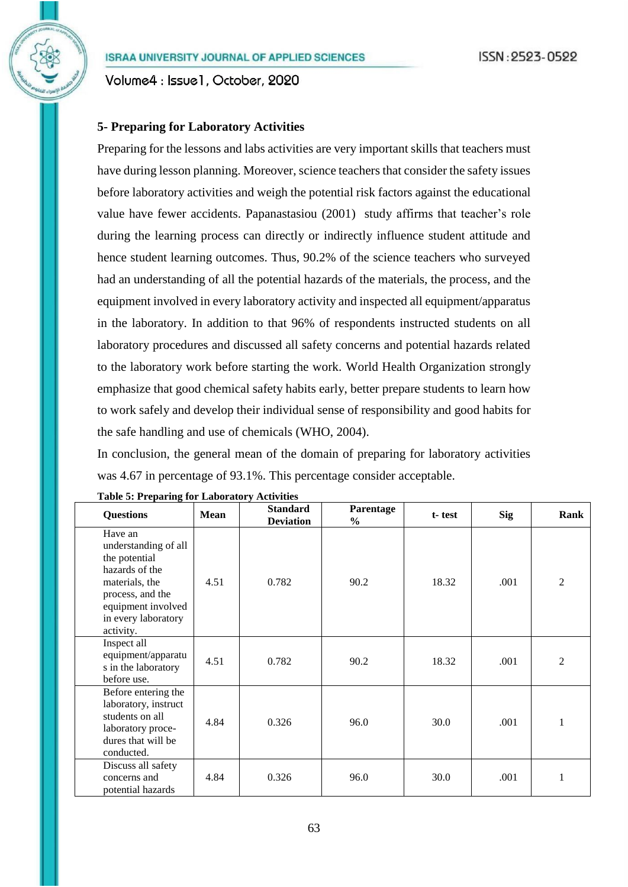Volume4: Issue1, October, 2020

## **5- Preparing for Laboratory Activities**

Preparing for the lessons and labs activities are very important skills that teachers must have during lesson planning. Moreover, science teachers that consider the safety issues before laboratory activities and weigh the potential risk factors against the educational value have fewer accidents. Papanastasiou (2001) study affirms that teacher's role during the learning process can directly or indirectly influence student attitude and hence student learning outcomes. Thus, 90.2% of the science teachers who surveyed had an understanding of all the potential hazards of the materials, the process, and the equipment involved in every laboratory activity and inspected all equipment/apparatus in the laboratory. In addition to that 96% of respondents instructed students on all laboratory procedures and discussed all safety concerns and potential hazards related to the laboratory work before starting the work. World Health Organization strongly emphasize that good chemical safety habits early, better prepare students to learn how to work safely and develop their individual sense of responsibility and good habits for the safe handling and use of chemicals [\(WHO, 2004\)](#page-15-7).

In conclusion, the general mean of the domain of preparing for laboratory activities was 4.67 in percentage of 93.1%. This percentage consider acceptable.

| <b>Questions</b>                                                                                                                                                   | <b>Mean</b> | <b>Standard</b><br><b>Deviation</b> | Parentage<br>$\%$ | t-test | <b>Sig</b> | Rank           |
|--------------------------------------------------------------------------------------------------------------------------------------------------------------------|-------------|-------------------------------------|-------------------|--------|------------|----------------|
| Have an<br>understanding of all<br>the potential<br>hazards of the<br>materials, the<br>process, and the<br>equipment involved<br>in every laboratory<br>activity. | 4.51        | 0.782                               | 90.2              | 18.32  | .001       | $\overline{2}$ |
| Inspect all<br>equipment/apparatu<br>s in the laboratory<br>before use.                                                                                            | 4.51        | 0.782                               | 90.2              | 18.32  | .001       | $\overline{2}$ |
| Before entering the<br>laboratory, instruct<br>students on all<br>laboratory proce-<br>dures that will be<br>conducted.                                            | 4.84        | 0.326                               | 96.0              | 30.0   | .001       | 1              |
| Discuss all safety<br>concerns and<br>potential hazards                                                                                                            | 4.84        | 0.326                               | 96.0              | 30.0   | .001       | $\mathbf{1}$   |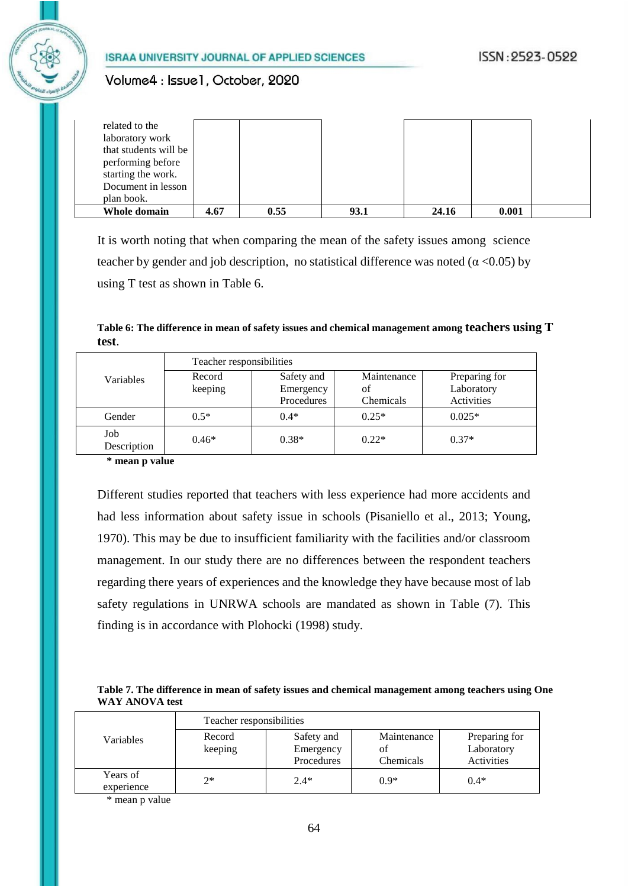## Volume4: Issue1, October, 2020

| related to the        |      |      |      |       |       |  |
|-----------------------|------|------|------|-------|-------|--|
| laboratory work       |      |      |      |       |       |  |
| that students will be |      |      |      |       |       |  |
| performing before     |      |      |      |       |       |  |
| starting the work.    |      |      |      |       |       |  |
| Document in lesson    |      |      |      |       |       |  |
| plan book.            |      |      |      |       |       |  |
| Whole domain          | 4.67 | 0.55 | 93.1 | 24.16 | 0.001 |  |

It is worth noting that when comparing the mean of the safety issues among science teacher by gender and job description, no statistical difference was noted ( $\alpha$  <0.05) by using T test as shown in Table 6.

**Table 6: The difference in mean of safety issues and chemical management among teachers using T test**.

|                    | Teacher responsibilities |            |             |               |  |
|--------------------|--------------------------|------------|-------------|---------------|--|
| Variables          | Record                   | Safety and | Maintenance | Preparing for |  |
|                    | keeping                  | Emergency  | of          | Laboratory    |  |
|                    |                          | Procedures | Chemicals   | Activities    |  |
| Gender             | $0.5*$                   | $0.4*$     | $0.25*$     | $0.025*$      |  |
| Job<br>Description | $0.46*$                  | $0.38*$    | $0.22*$     | $0.37*$       |  |

**\* mean p value**

Different studies reported that teachers with less experience had more accidents and had less information about safety issue in schools [\(Pisaniello et al., 2013;](#page-15-8) [Young,](#page-15-7)  [1970\)](#page-15-7). This may be due to insufficient familiarity with the facilities and/or classroom management. In our study there are no differences between the respondent teachers regarding there years of experiences and the knowledge they have because most of lab safety regulations in UNRWA schools are mandated as shown in Table (7). This finding is in accordance with Plohocki (1998) study.

#### **Table 7. The difference in mean of safety issues and chemical management among teachers using One WAY ANOVA test**

|                        | Teacher responsibilities |                         |                   |                             |  |  |
|------------------------|--------------------------|-------------------------|-------------------|-----------------------------|--|--|
| Variables              | Record<br>keeping        | Safety and<br>Emergency | Maintenance<br>οf | Preparing for<br>Laboratory |  |  |
|                        |                          | Procedures              | Chemicals         | Activities                  |  |  |
| Years of<br>experience | $2^*$                    | $2.4*$                  | $0.9*$            | $0.4*$                      |  |  |

\* mean p value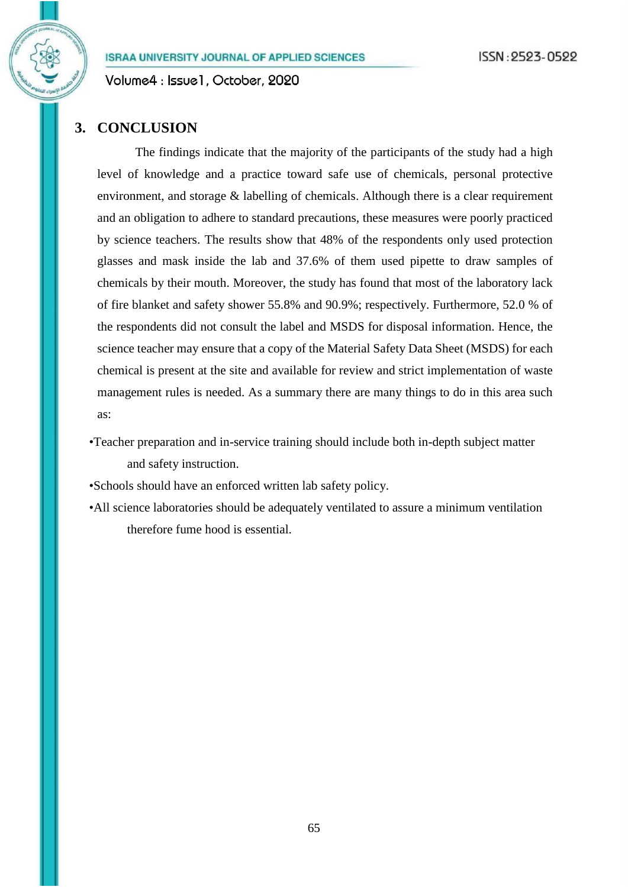Volume4: Issue1, October, 2020

## **3. CONCLUSION**

The findings indicate that the majority of the participants of the study had a high level of knowledge and a practice toward safe use of chemicals, personal protective environment, and storage & labelling of chemicals. Although there is a clear requirement and an obligation to adhere to standard precautions, these measures were poorly practiced by science teachers. The results show that 48% of the respondents only used protection glasses and mask inside the lab and 37.6% of them used pipette to draw samples of chemicals by their mouth. Moreover, the study has found that most of the laboratory lack of fire blanket and safety shower 55.8% and 90.9%; respectively. Furthermore, 52.0 % of the respondents did not consult the label and MSDS for disposal information. Hence, the science teacher may ensure that a copy of the Material Safety Data Sheet (MSDS) for each chemical is present at the site and available for review and strict implementation of waste management rules is needed. As a summary there are many things to do in this area such as:

•Teacher preparation and in-service training should include both in-depth subject matter and safety instruction.

•Schools should have an enforced written lab safety policy.

•All science laboratories should be adequately ventilated to assure a minimum ventilation therefore fume hood is essential.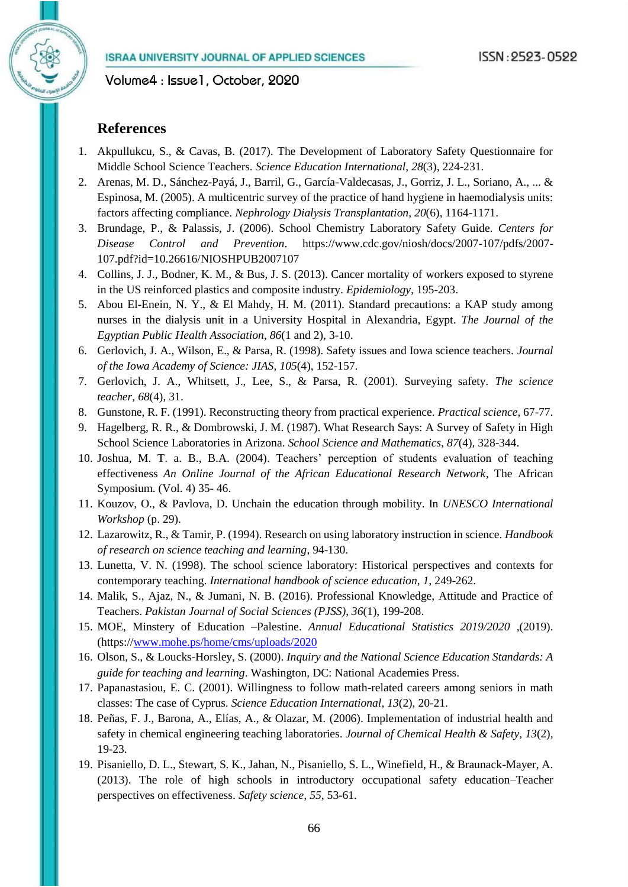## **References**

- <span id="page-14-10"></span>1. Akpullukcu, S., & Cavas, B. (2017). The Development of Laboratory Safety Questionnaire for Middle School Science Teachers. *Science Education International*, *28*(3), 224-231.
- 2. Arenas, M. D., Sánchez-Payá, J., Barril, G., García-Valdecasas, J., Gorriz, J. L., Soriano, A., ... & Espinosa, M. (2005). A multicentric survey of the practice of hand hygiene in haemodialysis units: factors affecting compliance. *Nephrology Dialysis Transplantation*, *20*(6), 1164-1171.
- <span id="page-14-4"></span>3. Brundage, P., & Palassis, J. (2006). School Chemistry Laboratory Safety Guide. *Centers for Disease Control and Prevention*. [https://www.cdc.gov/niosh/docs/2007-107/pdfs/2007-](https://www.cdc.gov/niosh/docs/2007-107/pdfs/2007-107.pdf?id=10.26616/NIOSHPUB2007107) [107.pdf?id=10.26616/NIOSHPUB2007107](https://www.cdc.gov/niosh/docs/2007-107/pdfs/2007-107.pdf?id=10.26616/NIOSHPUB2007107)
- 4. Collins, J. J., Bodner, K. M., & Bus, J. S. (2013). Cancer mortality of workers exposed to styrene in the US reinforced plastics and composite industry. *Epidemiology*, 195-203.
- <span id="page-14-11"></span>5. Abou El-Enein, N. Y., & El Mahdy, H. M. (2011). Standard precautions: a KAP study among nurses in the dialysis unit in a University Hospital in Alexandria, Egypt. *The Journal of the Egyptian Public Health Association*, *86*(1 and 2), 3-10.
- <span id="page-14-6"></span>6. Gerlovich, J. A., Wilson, E., & Parsa, R. (1998). Safety issues and Iowa science teachers. *Journal of the Iowa Academy of Science: JIAS*, *105*(4), 152-157.
- 7. Gerlovich, J. A., Whitsett, J., Lee, S., & Parsa, R. (2001). Surveying safety. *The science teacher*, *68*(4), 31.
- <span id="page-14-1"></span>8. Gunstone, R. F. (1991). Reconstructing theory from practical experience. *Practical science*, 67-77.
- <span id="page-14-5"></span>9. Hagelberg, R. R., & Dombrowski, J. M. (1987). What Research Says: A Survey of Safety in High School Science Laboratories in Arizona. *School Science and Mathematics*, *87*(4), 328-344.
- <span id="page-14-8"></span>10. Joshua, M. T. a. B., B.A. (2004). Teachers' perception of students evaluation of teaching effectiveness *An Online Journal of the African Educational Research Network,* The African Symposium. (Vol. 4) 35- 46.
- <span id="page-14-0"></span>11. Kouzov, O., & Pavlova, D. Unchain the education through mobility. In *UNESCO International Workshop* (p. 29).
- <span id="page-14-2"></span>12. Lazarowitz, R., & Tamir, P. (1994). Research on using laboratory instruction in science. *Handbook of research on science teaching and learning*, 94-130.
- <span id="page-14-3"></span>13. Lunetta, V. N. (1998). The school science laboratory: Historical perspectives and contexts for contemporary teaching. *International handbook of science education*, *1*, 249-262.
- 14. Malik, S., Ajaz, N., & Jumani, N. B. (2016). Professional Knowledge, Attitude and Practice of Teachers. *Pakistan Journal of Social Sciences (PJSS)*, *36*(1), 199-208.
- 15. MOE, Minstery of Education –Palestine. *Annual Educational Statistics 2019/2020* ,(2019). (https:/[/www.mohe.ps/home/cms/uploads/2020](http://www.mohe.ps/home/cms/uploads/2020)
- <span id="page-14-7"></span>16. Olson, S., & Loucks-Horsley, S. (2000). *Inquiry and the National Science Education Standards: A guide for teaching and learning*. Washington, DC: National Academies Press.
- 17. Papanastasiou, E. C. (2001). Willingness to follow math-related careers among seniors in math classes: The case of Cyprus. *Science Education International*, *13*(2), 20-21.
- 18. Peñas, F. J., Barona, A., Elías, A., & Olazar, M. (2006). Implementation of industrial health and safety in chemical engineering teaching laboratories. *Journal of Chemical Health & Safety*, *13*(2), 19-23.
- <span id="page-14-9"></span>19. Pisaniello, D. L., Stewart, S. K., Jahan, N., Pisaniello, S. L., Winefield, H., & Braunack-Mayer, A. (2013). The role of high schools in introductory occupational safety education–Teacher perspectives on effectiveness. *Safety science*, *55*, 53-61.